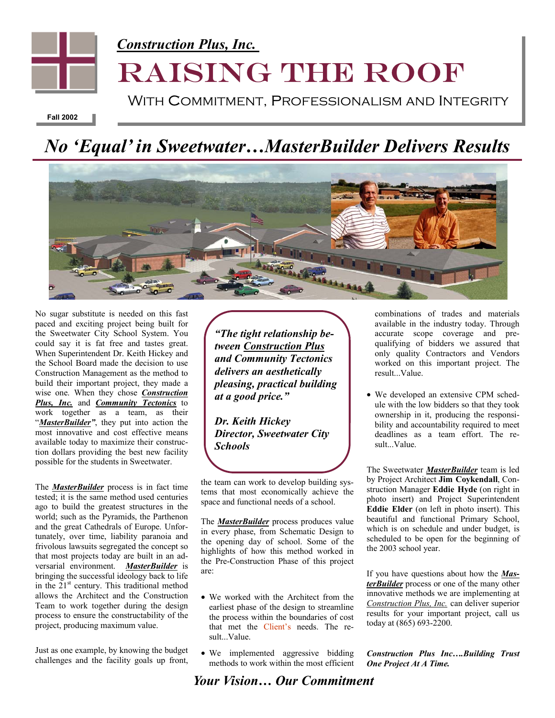

**Fall 2002** 

## *No 'Equal' in Sweetwater…MasterBuilder Delivers Results*



No sugar substitute is needed on this fast paced and exciting project being built for the Sweetwater City School System. You could say it is fat free and tastes great. When Superintendent Dr. Keith Hickey and the School Board made the decision to use Construction Management as the method to build their important project, they made a wise one. When they chose *Construction Plus, Inc.* and *Community Tectonics* to work together as a team, as their "*MasterBuilder*", they put into action the most innovative and cost effective means available today to maximize their construction dollars providing the best new facility possible for the students in Sweetwater.

The *MasterBuilder* process is in fact time tested; it is the same method used centuries ago to build the greatest structures in the world; such as the Pyramids, the Parthenon and the great Cathedrals of Europe. Unfortunately, over time, liability paranoia and frivolous lawsuits segregated the concept so that most projects today are built in an adversarial environment. *MasterBuilder* is bringing the successful ideology back to life in the  $21<sup>st</sup>$  century. This traditional method allows the Architect and the Construction Team to work together during the design process to ensure the constructability of the project, producing maximum value.

Just as one example, by knowing the budget challenges and the facility goals up front,

*"The tight relationship between Construction Plus and Community Tectonics delivers an aesthetically pleasing, practical building at a good price."* 

*Dr. Keith Hickey Director, Sweetwater City Schools* 

the team can work to develop building systems that most economically achieve the space and functional needs of a school.

The *MasterBuilder* process produces value in every phase, from Schematic Design to the opening day of school. Some of the highlights of how this method worked in the Pre-Construction Phase of this project are:

- We worked with the Architect from the earliest phase of the design to streamline the process within the boundaries of cost that met the Client's needs. The result...Value.
- We implemented aggressive bidding methods to work within the most efficient

combinations of trades and materials available in the industry today. Through accurate scope coverage and prequalifying of bidders we assured that only quality Contractors and Vendors worked on this important project. The result...Value.

• We developed an extensive CPM schedule with the low bidders so that they took ownership in it, producing the responsibility and accountability required to meet deadlines as a team effort. The result...Value.

The Sweetwater *MasterBuilder* team is led by Project Architect **Jim Coykendall**, Construction Manager **Eddie Hyde** (on right in photo insert) and Project Superintendent **Eddie Elder** (on left in photo insert). This beautiful and functional Primary School, which is on schedule and under budget, is scheduled to be open for the beginning of the 2003 school year.

If you have questions about how the *MasterBuilder* process or one of the many other innovative methods we are implementing at *Construction Plus, Inc.* can deliver superior results for your important project, call us today at (865) 693-2200.

*Construction Plus Inc….Building Trust One Project At A Time.*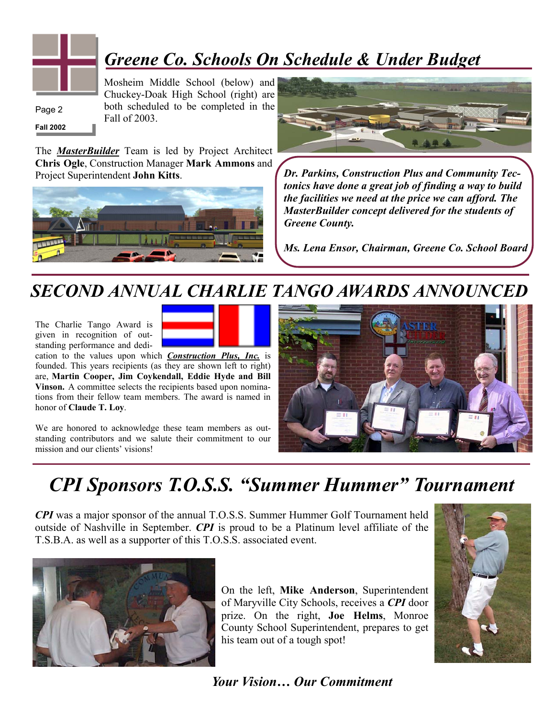

## *Greene Co. Schools On Schedule & Under Budget*

**Fall 2002**  Page 2

Mosheim Middle School (below) and Chuckey-Doak High School (right) are both scheduled to be completed in the Fall of 2003.

The *MasterBuilder* Team is led by Project Architect **Chris Ogle**, Construction Manager **Mark Ammons** and Project Superintendent **John Kitts**.





*Dr. Parkins, Construction Plus and Community Tectonics have done a great job of finding a way to build the facilities we need at the price we can afford. The MasterBuilder concept delivered for the students of Greene County.* 

*Ms. Lena Ensor, Chairman, Greene Co. School Board* 

#### *SECOND ANNUAL CHARLIE TANGO AWARDS ANNOUNCED*

The Charlie Tango Award is given in recognition of outstanding performance and dedi-



cation to the values upon which *Construction Plus, Inc.* is founded. This years recipients (as they are shown left to right) are, **Martin Cooper, Jim Coykendall, Eddie Hyde and Bill Vinson.** A committee selects the recipients based upon nominations from their fellow team members. The award is named in honor of **Claude T. Loy**.

We are honored to acknowledge these team members as outstanding contributors and we salute their commitment to our mission and our clients' visions!



#### *CPI Sponsors T.O.S.S. "Summer Hummer" Tournament*

*CPI* was a major sponsor of the annual T.O.S.S. Summer Hummer Golf Tournament held outside of Nashville in September. *CPI* is proud to be a Platinum level affiliate of the T.S.B.A. as well as a supporter of this T.O.S.S. associated event.



On the left, **Mike Anderson**, Superintendent of Maryville City Schools, receives a *CPI* door prize. On the right, **Joe Helms**, Monroe County School Superintendent, prepares to get his team out of a tough spot!

![](_page_1_Picture_19.jpeg)

![](_page_1_Picture_20.jpeg)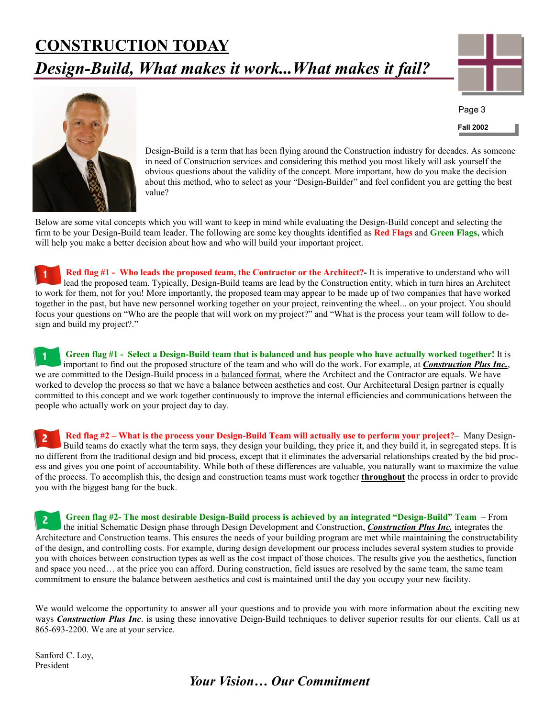## **CONSTRUCTION TODAY** *Design-Build, What makes it work...What makes it fail?*

![](_page_2_Picture_1.jpeg)

**Fall 2002**  Page 3

![](_page_2_Picture_2.jpeg)

Design-Build is a term that has been flying around the Construction industry for decades. As someone in need of Construction services and considering this method you most likely will ask yourself the obvious questions about the validity of the concept. More important, how do you make the decision about this method, who to select as your "Design-Builder" and feel confident you are getting the best value?

Below are some vital concepts which you will want to keep in mind while evaluating the Design-Build concept and selecting the firm to be your Design-Build team leader. The following are some key thoughts identified as **Red Flags** and **Green Flags,** which will help you make a better decision about how and who will build your important project.

**Red flag #1 - Who leads the proposed team, the Contractor or the Architect?-** It is imperative to understand who will lead the proposed team. Typically, Design-Build teams are lead by the Construction entity, which in turn hires an Architect to work for them, not for you! More importantly, the proposed team may appear to be made up of two companies that have worked together in the past, but have new personnel working together on your project, reinventing the wheel... on your project. You should focus your questions on "Who are the people that will work on my project?" and "What is the process your team will follow to design and build my project?."

**Green flag #1 - Select a Design-Build team that is balanced and has people who have actually worked together!** It is important to find out the proposed structure of the team and who will do the work. For example, at *Construction Plus Inc.*, we are committed to the Design-Build process in a balanced format, where the Architect and the Contractor are equals. We have worked to develop the process so that we have a balance between aesthetics and cost. Our Architectural Design partner is equally committed to this concept and we work together continuously to improve the internal efficiencies and communications between the people who actually work on your project day to day.

**Red flag #2 – What is the process your Design-Build Team will actually use to perform your project?**– Many Design-Build teams do exactly what the term says, they design your building, they price it, and they build it, in segregated steps. It is no different from the traditional design and bid process, except that it eliminates the adversarial relationships created by the bid process and gives you one point of accountability. While both of these differences are valuable, you naturally want to maximize the value of the process. To accomplish this, the design and construction teams must work together **throughout** the process in order to provide you with the biggest bang for the buck.

**Green flag #2- The most desirable Design-Build process is achieved by an integrated "Design-Build" Team** – From the initial Schematic Design phase through Design Development and Construction, *Construction Plus Inc.* integrates the Architecture and Construction teams. This ensures the needs of your building program are met while maintaining the constructability of the design, and controlling costs. For example, during design development our process includes several system studies to provide you with choices between construction types as well as the cost impact of those choices. The results give you the aesthetics, function and space you need… at the price you can afford. During construction, field issues are resolved by the same team, the same team commitment to ensure the balance between aesthetics and cost is maintained until the day you occupy your new facility.

We would welcome the opportunity to answer all your questions and to provide you with more information about the exciting new ways *Construction Plus Inc*. is using these innovative Deign-Build techniques to deliver superior results for our clients. Call us at 865-693-2200. We are at your service.

Sanford C. Loy, President

#### *Your Vision… Our Commitment*